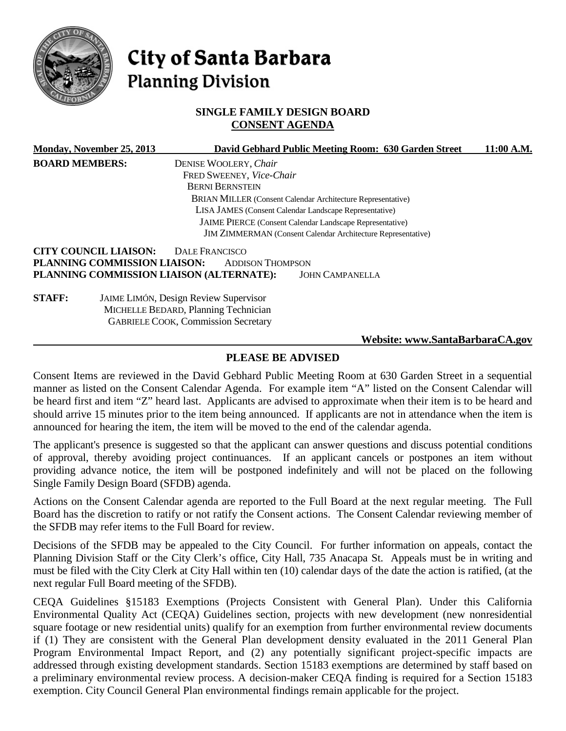

# City of Santa Barbara **Planning Division**

## **SINGLE FAMILY DESIGN BOARD CONSENT AGENDA**

|                                                                                                                                                                                           | Monday, November 25, 2013    |                                                                    | David Gebhard Public Meeting Room: 630 Garden Street | 11:00 A.M. |
|-------------------------------------------------------------------------------------------------------------------------------------------------------------------------------------------|------------------------------|--------------------------------------------------------------------|------------------------------------------------------|------------|
| <b>BOARD MEMBERS:</b>                                                                                                                                                                     |                              | DENISE WOOLERY, Chair                                              |                                                      |            |
|                                                                                                                                                                                           |                              | FRED SWEENEY, Vice-Chair                                           |                                                      |            |
|                                                                                                                                                                                           |                              | <b>BERNI BERNSTEIN</b>                                             |                                                      |            |
|                                                                                                                                                                                           |                              | <b>BRIAN MILLER (Consent Calendar Architecture Representative)</b> |                                                      |            |
| LISA JAMES (Consent Calendar Landscape Representative)<br>JAIME PIERCE (Consent Calendar Landscape Representative)<br><b>JIM ZIMMERMAN</b> (Consent Calendar Architecture Representative) |                              |                                                                    |                                                      |            |
|                                                                                                                                                                                           |                              |                                                                    |                                                      |            |
|                                                                                                                                                                                           |                              |                                                                    |                                                      |            |
|                                                                                                                                                                                           | <b>CITY COUNCIL LIAISON:</b> | <b>DALE FRANCISCO</b>                                              |                                                      |            |
|                                                                                                                                                                                           | PLANNING COMMISSION LIAISON: | <b>ADDISON THOMPSON</b>                                            |                                                      |            |
|                                                                                                                                                                                           |                              | PLANNING COMMISSION LIAISON (ALTERNATE):                           | <b>JOHN CAMPANELLA</b>                               |            |
| <b>STAFF:</b>                                                                                                                                                                             |                              | <b>JAIME LIMÓN, Design Review Supervisor</b>                       |                                                      |            |
|                                                                                                                                                                                           |                              | MICHELLE BEDARD, Planning Technician                               |                                                      |            |
|                                                                                                                                                                                           |                              | <b>GABRIELE COOK, Commission Secretary</b>                         |                                                      |            |
|                                                                                                                                                                                           |                              |                                                                    | Website: www.SantaBarbaraCA.gov                      |            |

# **PLEASE BE ADVISED**

Consent Items are reviewed in the David Gebhard Public Meeting Room at 630 Garden Street in a sequential manner as listed on the Consent Calendar Agenda. For example item "A" listed on the Consent Calendar will be heard first and item "Z" heard last. Applicants are advised to approximate when their item is to be heard and should arrive 15 minutes prior to the item being announced. If applicants are not in attendance when the item is announced for hearing the item, the item will be moved to the end of the calendar agenda.

The applicant's presence is suggested so that the applicant can answer questions and discuss potential conditions of approval, thereby avoiding project continuances. If an applicant cancels or postpones an item without providing advance notice, the item will be postponed indefinitely and will not be placed on the following Single Family Design Board (SFDB) agenda.

Actions on the Consent Calendar agenda are reported to the Full Board at the next regular meeting. The Full Board has the discretion to ratify or not ratify the Consent actions. The Consent Calendar reviewing member of the SFDB may refer items to the Full Board for review.

Decisions of the SFDB may be appealed to the City Council. For further information on appeals, contact the Planning Division Staff or the City Clerk's office, City Hall, 735 Anacapa St. Appeals must be in writing and must be filed with the City Clerk at City Hall within ten (10) calendar days of the date the action is ratified, (at the next regular Full Board meeting of the SFDB).

CEQA Guidelines §15183 Exemptions (Projects Consistent with General Plan). Under this California Environmental Quality Act (CEQA) Guidelines section, projects with new development (new nonresidential square footage or new residential units) qualify for an exemption from further environmental review documents if (1) They are consistent with the General Plan development density evaluated in the 2011 General Plan Program Environmental Impact Report, and (2) any potentially significant project-specific impacts are addressed through existing development standards. Section 15183 exemptions are determined by staff based on a preliminary environmental review process. A decision-maker CEQA finding is required for a Section 15183 exemption. City Council General Plan environmental findings remain applicable for the project.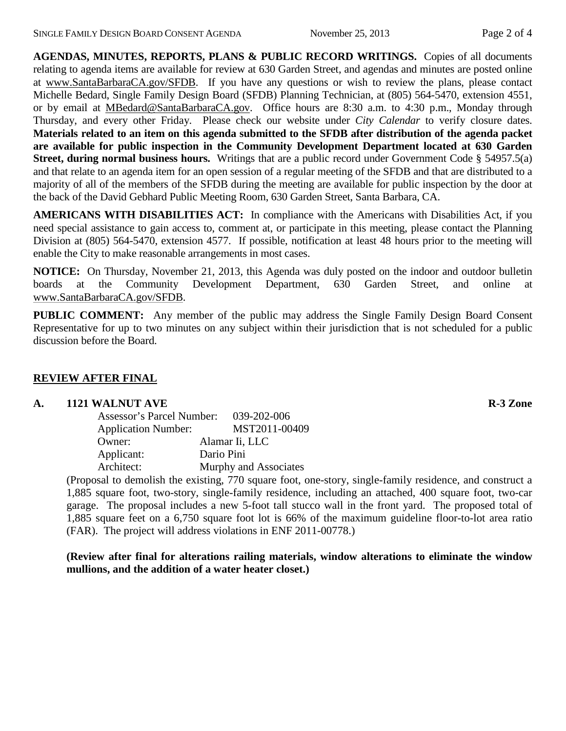**AGENDAS, MINUTES, REPORTS, PLANS & PUBLIC RECORD WRITINGS.** Copies of all documents relating to agenda items are available for review at 630 Garden Street, and agendas and minutes are posted online at [www.SantaBarbaraCA.gov/SFDB.](http://www.santabarbaraca.gov/ABR) If you have any questions or wish to review the plans, please contact Michelle Bedard, Single Family Design Board (SFDB) Planning Technician, at (805) 564-5470, extension 4551, or by email at [MBedard@SantaBarbaraCA.gov.](mailto:MBedard@SantaBarbaraCA.gov) Office hours are 8:30 a.m. to 4:30 p.m., Monday through Thursday, and every other Friday. Please check our website under *City Calendar* to verify closure dates. **Materials related to an item on this agenda submitted to the SFDB after distribution of the agenda packet are available for public inspection in the Community Development Department located at 630 Garden Street, during normal business hours.** Writings that are a public record under Government Code § 54957.5(a) and that relate to an agenda item for an open session of a regular meeting of the SFDB and that are distributed to a majority of all of the members of the SFDB during the meeting are available for public inspection by the door at the back of the David Gebhard Public Meeting Room, 630 Garden Street, Santa Barbara, CA.

**AMERICANS WITH DISABILITIES ACT:** In compliance with the Americans with Disabilities Act, if you need special assistance to gain access to, comment at, or participate in this meeting, please contact the Planning Division at (805) 564-5470, extension 4577. If possible, notification at least 48 hours prior to the meeting will enable the City to make reasonable arrangements in most cases.

**NOTICE:** On Thursday, November 21, 2013, this Agenda was duly posted on the indoor and outdoor bulletin boards at the Community Development Department, 630 Garden Street, and online at [www.SantaBarbaraCA.gov/SFDB.](http://www.santabarbaraca.gov/sfdb)

**PUBLIC COMMENT:** Any member of the public may address the Single Family Design Board Consent Representative for up to two minutes on any subject within their jurisdiction that is not scheduled for a public discussion before the Board.

# **REVIEW AFTER FINAL**

## **A. 1121 WALNUT AVE R-3 Zone**

| <b>Assessor's Parcel Number:</b> | $039 - 202 - 006$     |
|----------------------------------|-----------------------|
| <b>Application Number:</b>       | MST2011-00409         |
| Owner:                           | Alamar Ii, LLC        |
| Applicant:                       | Dario Pini            |
| Architect:                       | Murphy and Associates |

(Proposal to demolish the existing, 770 square foot, one-story, single-family residence, and construct a 1,885 square foot, two-story, single-family residence, including an attached, 400 square foot, two-car garage. The proposal includes a new 5-foot tall stucco wall in the front yard. The proposed total of 1,885 square feet on a 6,750 square foot lot is 66% of the maximum guideline floor-to-lot area ratio (FAR). The project will address violations in ENF 2011-00778.)

**(Review after final for alterations railing materials, window alterations to eliminate the window mullions, and the addition of a water heater closet.)**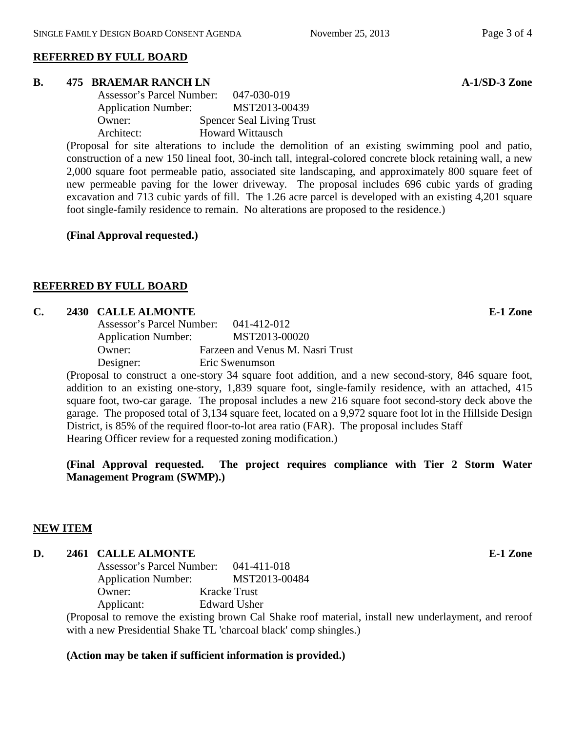#### **REFERRED BY FULL BOARD**

#### **B. 475 BRAEMAR RANCH LN A-1/SD-3 Zone**

| Assessor's Parcel Number:  | 047-030-019                      |
|----------------------------|----------------------------------|
| <b>Application Number:</b> | MST2013-00439                    |
| Owner:                     | <b>Spencer Seal Living Trust</b> |
| Architect:                 | <b>Howard Wittausch</b>          |

(Proposal for site alterations to include the demolition of an existing swimming pool and patio, construction of a new 150 lineal foot, 30-inch tall, integral-colored concrete block retaining wall, a new 2,000 square foot permeable patio, associated site landscaping, and approximately 800 square feet of new permeable paving for the lower driveway. The proposal includes 696 cubic yards of grading excavation and 713 cubic yards of fill. The 1.26 acre parcel is developed with an existing 4,201 square foot single-family residence to remain. No alterations are proposed to the residence.)

**(Final Approval requested.)**

#### **REFERRED BY FULL BOARD**

#### **C. 2430 CALLE ALMONTE E-1 Zone**

| Assessor's Parcel Number:  | $041 - 412 - 012$                |
|----------------------------|----------------------------------|
| <b>Application Number:</b> | MST2013-00020                    |
| Owner:                     | Farzeen and Venus M. Nasri Trust |
| Designer:                  | Eric Swenumson                   |

(Proposal to construct a one-story 34 square foot addition, and a new second-story, 846 square foot, addition to an existing one-story, 1,839 square foot, single-family residence, with an attached, 415 square foot, two-car garage. The proposal includes a new 216 square foot second-story deck above the garage. The proposed total of 3,134 square feet, located on a 9,972 square foot lot in the Hillside Design District, is 85% of the required floor-to-lot area ratio (FAR). The proposal includes Staff Hearing Officer review for a requested zoning modification.)

**(Final Approval requested. The project requires compliance with Tier 2 Storm Water Management Program (SWMP).)** 

## **NEW ITEM**

#### **D. 2461 CALLE ALMONTE E-1 Zone**

| Assessor's Parcel Number:<br>041-411-018 |
|------------------------------------------|
| MST2013-00484                            |
| <b>Kracke Trust</b>                      |
| Edward Usher                             |
|                                          |

(Proposal to remove the existing brown Cal Shake roof material, install new underlayment, and reroof with a new Presidential Shake TL 'charcoal black' comp shingles.)

#### **(Action may be taken if sufficient information is provided.)**